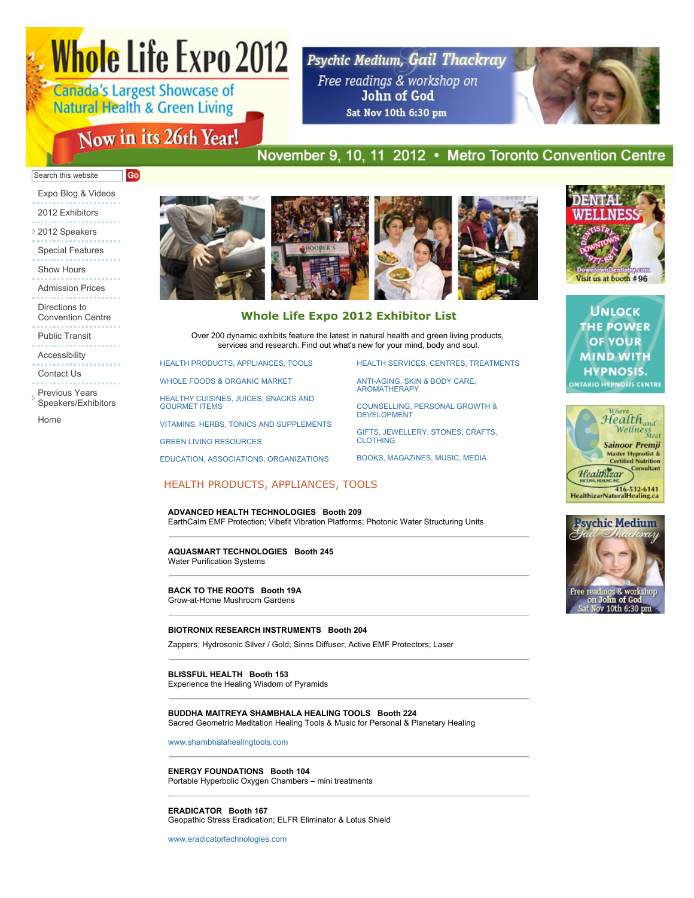# **Whole Life Expo 2012**

**Canada's Largest Showcase of Natural Health & Green Living** 

# Now in its 26th Year!

Psychic Medium, Gail Thackray Free readings & workshop on John of God Sat Nov 10th 6:30 pm



## November 9, 10, 11 2012 • Metro Toronto Convention Centre

#### Search this website **Go**

- [Expo Blog & Videos](http://blog.wholelifecanada.com/) [2012 Exhibitors](http://www.wholelifeexpo.ca/exhibitors.php)
- [2012 Speakers](javascript:void(0);) [Special Features](http://www.wholelifeexpo.ca/features.php)
- [Show Hours](http://www.wholelifeexpo.ca/hours.php)
- [Admission Prices](http://www.wholelifeexpo.ca/hours.php#prices)
- Directions to
- [Convention Centre](http://www.wholelifeexpo.ca/hours.php#directions)
- [Public Transit](http://www.wholelifeexpo.ca/hours.php#publicTransit)
- 
- [Accessibility](http://www.wholelifeexpo.ca/hours.php#accessibility)
- [Contact Us](http://www.wholelifeexpo.ca/contact.php)
- Previous Years [Speakers/Exhibitors](javascript:void(0);)

[Home](http://www.wholelifeexpo.ca/index.php)



## **Whole Life Expo 2012 Exhibitor List**

Over 200 dynamic exhibits feature the latest in natural health and green living products, services and research. Find out what's new for your mind, body and soul.

[HEALTH PRODUCTS, APPLIANCES, TOOLS](http://www.wholelifeexpo.ca/exhibitors.php#11)

[WHOLE FOODS & ORGANIC MARKET](http://www.wholelifeexpo.ca/exhibitors.php#12)

[HEALTHY CUISINES, JUICES, SNACKS AND](http://www.wholelifeexpo.ca/exhibitors.php#13) GOURMET ITEMS

[VITAMINS, HERBS, TONICS AND SUPPLEMENTS](http://www.wholelifeexpo.ca/exhibitors.php#14)

[GREEN LIVING RESOURCES](http://www.wholelifeexpo.ca/exhibitors.php#15)

[EDUCATION, ASSOCIATIONS, ORGANIZATIONS](http://www.wholelifeexpo.ca/exhibitors.php#17)

[HEALTH SERVICES, CENTRES, TREATMENTS](http://www.wholelifeexpo.ca/exhibitors.php#18)

[ANTI-AGING, SKIN & BODY CARE,](http://www.wholelifeexpo.ca/exhibitors.php#19) AROMATHERAPY

[COUNSELLING, PERSONAL GROWTH &](http://www.wholelifeexpo.ca/exhibitors.php#20) DEVELOPMENT

[GIFTS, JEWELLERY, STONES, CRAFTS,](http://www.wholelifeexpo.ca/exhibitors.php#21) CLOTHING

[BOOKS, MAGAZINES, MUSIC, MEDIA](http://www.wholelifeexpo.ca/exhibitors.php#22)

## HEALTH PRODUCTS, APPLIANCES, TOOLS

## **ADVANCED HEALTH TECHNOLOGIES Booth 209**

EarthCalm EMF Protection; Vibefit Vibration Platforms; Photonic Water Structuring Units

#### **AQUASMART TECHNOLOGIES Booth 245** Water Purification Systems

#### **BACK TO THE ROOTS Booth 19A** Grow-at-Home Mushroom Gardens

#### **BIOTRONIX RESEARCH INSTRUMENTS Booth 204**

Zappers; Hydrosonic Silver / Gold; Sinns Diffuser; Active EMF Protectors; Laser

## **BLISSFUL HEALTH Booth 153**

Experience the Healing Wisdom of Pyramids

#### **BUDDHA MAITREYA SHAMBHALA HEALING TOOLS Booth 224** Sacred Geometric Meditation Healing Tools & Music for Personal & Planetary Healing

[www.shambhalahealingtools.com](http://www.shambhalahealingtools.com/)

**ENERGY FOUNDATIONS Booth 104** Portable Hyperbolic Oxygen Chambers – mini treatments

**ERADICATOR Booth 167** Geopathic Stress Eradication; ELFR Eliminator & Lotus Shield

[www.eradicatortechnologies.com](http://www.eradicatortechnologies.com/)



HealthizarNaturalHealing.ca

Healthizar

dom

Visit us at booth #96

**UNLOCK THE POWER OF YOUR MIND WITH HYPNOSIS.** ONTARIO HYPNOSIS CENTRE

> $Health$ <sub>and</sub> Wellness<br>Wellness **Sainoor Premji** Master Hypnotist &<br>Certified Nutrition **Consultant**

> > 416-532-6141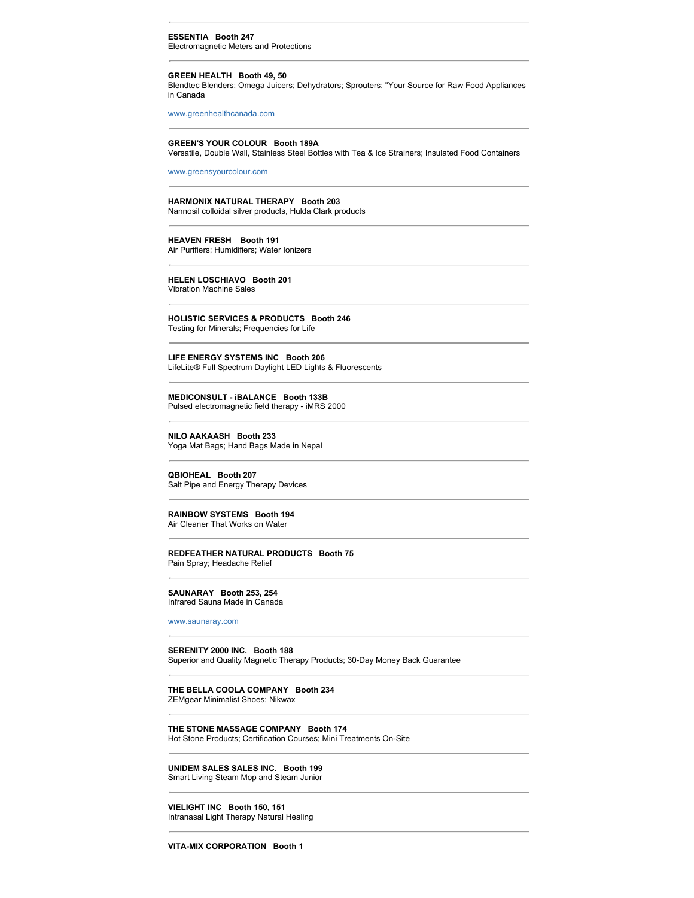#### **ESSENTIA Booth 247** Electromagnetic Meters and Protections

#### **GREEN HEALTH Booth 49, 50**

Blendtec Blenders; Omega Juicers; Dehydrators; Sprouters; "Your Source for Raw Food Appliances in Canada

[www.greenhealthcanada.com](http://www.greenhealthcanada.com/)

#### **GREEN'S YOUR COLOUR Booth 189A**

Versatile, Double Wall, Stainless Steel Bottles with Tea & Ice Strainers; Insulated Food Containers

[www.greensyourcolour.com](http://www.greensyourcolour.com/)

#### **HARMONIX NATURAL THERAPY Booth 203**

Nannosil colloidal silver products, Hulda Clark products

**HEAVEN FRESH Booth 191** Air Purifiers; Humidifiers; Water Ionizers

**HELEN LOSCHIAVO Booth 201** Vibration Machine Sales

**HOLISTIC SERVICES & PRODUCTS Booth 246** Testing for Minerals; Frequencies for Life

**LIFE ENERGY SYSTEMS INC Booth 206** LifeLite® Full Spectrum Daylight LED Lights & Fluorescents

**MEDICONSULT - iBALANCE Booth 133B** Pulsed electromagnetic field therapy - iMRS 2000

**NILO AAKAASH Booth 233** Yoga Mat Bags; Hand Bags Made in Nepal

**QBIOHEAL Booth 207** Salt Pipe and Energy Therapy Devices

## **RAINBOW SYSTEMS Booth 194**

Air Cleaner That Works on Water

#### **REDFEATHER NATURAL PRODUCTS Booth 75** Pain Spray; Headache Relief

#### **SAUNARAY Booth 253, 254**

Infrared Sauna Made in Canada

[www.saunaray.com](http://www.saunaray.com/)

## **SERENITY 2000 INC. Booth 188**

Superior and Quality Magnetic Therapy Products; 30-Day Money Back Guarantee

**THE BELLA COOLA COMPANY Booth 234** ZEMgear Minimalist Shoes; Nikwax

## **THE STONE MASSAGE COMPANY Booth 174**

Hot Stone Products; Certification Courses; Mini Treatments On-Site

**UNIDEM SALES SALES INC. Booth 199** Smart Living Steam Mop and Steam Junior

**VIELIGHT INC Booth 150, 151** Intranasal Light Therapy Natural Healing

**VITA-MIX CORPORATION Booth 1**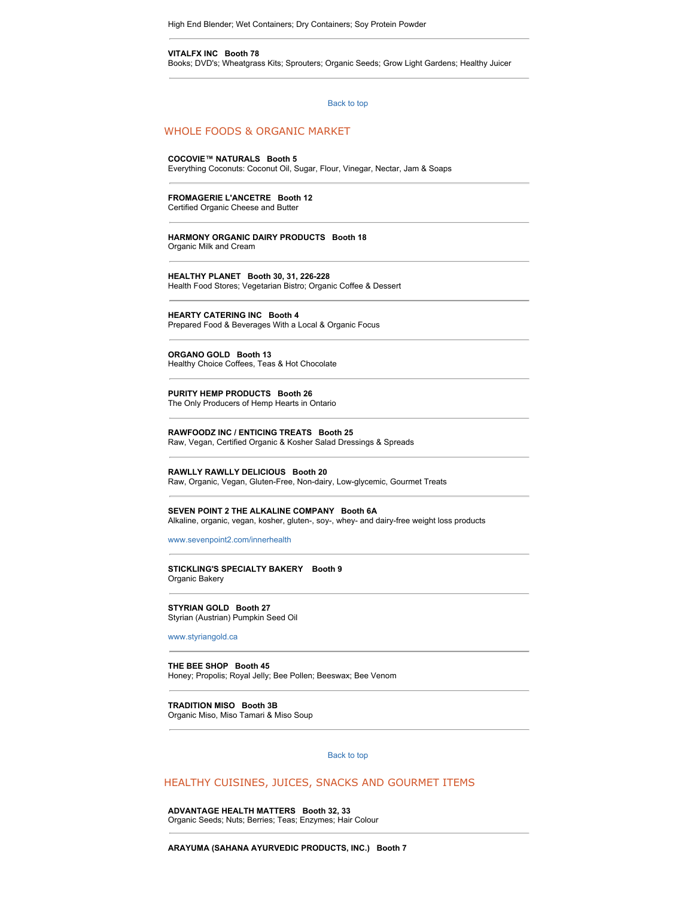High End Blender; Wet Containers; Dry Containers; Soy Protein Powder

#### **VITALFX INC Booth 78**

Books; DVD's; Wheatgrass Kits; Sprouters; Organic Seeds; Grow Light Gardens; Healthy Juicer

[Back to top](http://www.wholelifeexpo.ca/exhibitors.php#top) 

#### WHOLE FOODS & ORGANIC MARKET

#### **COCOVIE™ NATURALS Booth 5**

Everything Coconuts: Coconut Oil, Sugar, Flour, Vinegar, Nectar, Jam & Soaps

#### **FROMAGERIE L'ANCETRE Booth 12**

Certified Organic Cheese and Butter

#### **HARMONY ORGANIC DAIRY PRODUCTS Booth 18**

Organic Milk and Cream

#### **HEALTHY PLANET Booth 30, 31, 226-228**

Health Food Stores; Vegetarian Bistro; Organic Coffee & Dessert

#### **HEARTY CATERING INC Booth 4**

Prepared Food & Beverages With a Local & Organic Focus

#### **ORGANO GOLD Booth 13**

Healthy Choice Coffees, Teas & Hot Chocolate

## **PURITY HEMP PRODUCTS Booth 26**

The Only Producers of Hemp Hearts in Ontario

## **RAWFOODZ INC / ENTICING TREATS Booth 25**

Raw, Vegan, Certified Organic & Kosher Salad Dressings & Spreads

#### **RAWLLY RAWLLY DELICIOUS Booth 20**

Raw, Organic, Vegan, Gluten-Free, Non-dairy, Low-glycemic, Gourmet Treats

#### **SEVEN POINT 2 THE ALKALINE COMPANY Booth 6A**

Alkaline, organic, vegan, kosher, gluten-, soy-, whey- and dairy-free weight loss products

#### [www.sevenpoint2.com/innerhealth](http://www.sevenpoint2.com/innerhealth)

#### **STICKLING'S SPECIALTY BAKERY Booth 9** Organic Bakery

**STYRIAN GOLD Booth 27** Styrian (Austrian) Pumpkin Seed Oil

#### [www.styriangold.ca](http://www.styriangold.ca/)

#### **THE BEE SHOP Booth 45** Honey; Propolis; Royal Jelly; Bee Pollen; Beeswax; Bee Venom

#### **TRADITION MISO Booth 3B**

Organic Miso, Miso Tamari & Miso Soup

#### [Back to top](http://www.wholelifeexpo.ca/exhibitors.php#top)

#### HEALTHY CUISINES, JUICES, SNACKS AND GOURMET ITEMS

**ADVANTAGE HEALTH MATTERS Booth 32, 33** Organic Seeds; Nuts; Berries; Teas; Enzymes; Hair Colour

#### **ARAYUMA (SAHANA AYURVEDIC PRODUCTS, INC.) Booth 7**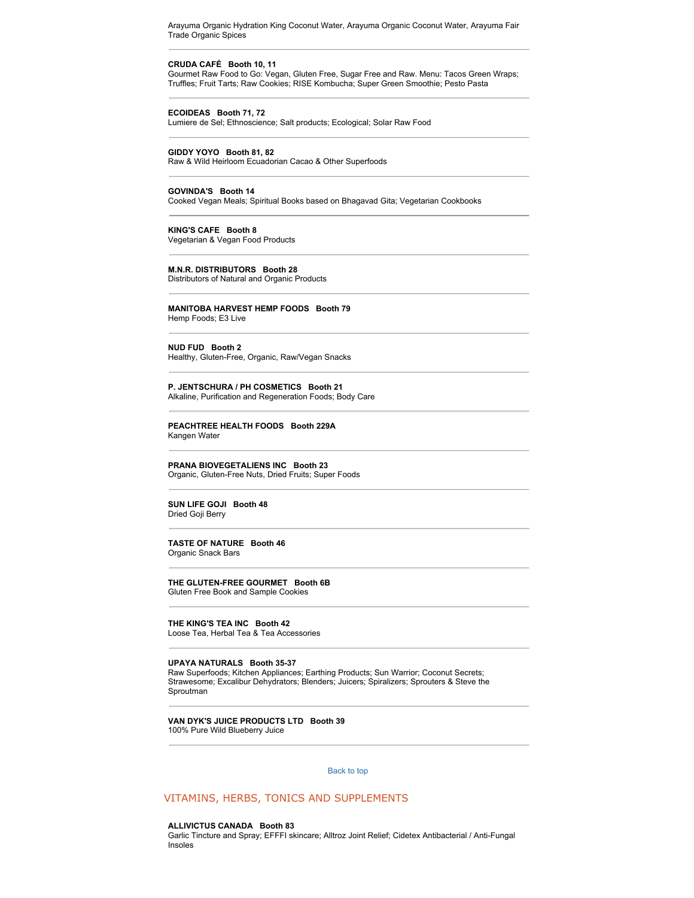Arayuma Organic Hydration King Coconut Water, Arayuma Organic Coconut Water, Arayuma Fair Trade Organic Spices

## **CRUDA CAFÉ Booth 10, 11**

Gourmet Raw Food to Go: Vegan, Gluten Free, Sugar Free and Raw. Menu: Tacos Green Wraps; Truffles; Fruit Tarts; Raw Cookies; RISE Kombucha; Super Green Smoothie; Pesto Pasta

#### **ECOIDEAS Booth 71, 72**

Lumiere de Sel; Ethnoscience; Salt products; Ecological; Solar Raw Food

#### **GIDDY YOYO Booth 81, 82**

Raw & Wild Heirloom Ecuadorian Cacao & Other Superfoods

#### **GOVINDA'S Booth 14**

Cooked Vegan Meals; Spiritual Books based on Bhagavad Gita; Vegetarian Cookbooks

#### **KING'S CAFE Booth 8**

Vegetarian & Vegan Food Products

#### **M.N.R. DISTRIBUTORS Booth 28**

Distributors of Natural and Organic Products

#### **MANITOBA HARVEST HEMP FOODS Booth 79**

Hemp Foods; E3 Live

#### **NUD FUD Booth 2**

Healthy, Gluten-Free, Organic, Raw/Vegan Snacks

#### **P. JENTSCHURA / PH COSMETICS Booth 21** Alkaline, Purification and Regeneration Foods; Body Care

#### **PEACHTREE HEALTH FOODS Booth 229A** Kangen Water

**PRANA BIOVEGETALIENS INC Booth 23** Organic, Gluten-Free Nuts, Dried Fruits; Super Foods

#### **SUN LIFE GOJI Booth 48** Dried Goji Berry

#### **TASTE OF NATURE Booth 46** Organic Snack Bars

**THE GLUTEN-FREE GOURMET Booth 6B**

Gluten Free Book and Sample Cookies

#### **THE KING'S TEA INC Booth 42** Loose Tea, Herbal Tea & Tea Accessories

#### **UPAYA NATURALS Booth 35-37**

Raw Superfoods; Kitchen Appliances; Earthing Products; Sun Warrior; Coconut Secrets; Strawesome; Excalibur Dehydrators; Blenders; Juicers; Spiralizers; Sprouters & Steve the Sproutman

#### **VAN DYK'S JUICE PRODUCTS LTD Booth 39** 100% Pure Wild Blueberry Juice

#### [Back to top](http://www.wholelifeexpo.ca/exhibitors.php#top)

#### VITAMINS, HERBS, TONICS AND SUPPLEMENTS

#### **ALLIVICTUS CANADA Booth 83**

Garlic Tincture and Spray; EFFFI skincare; Alltroz Joint Relief; Cidetex Antibacterial / Anti-Fungal Insoles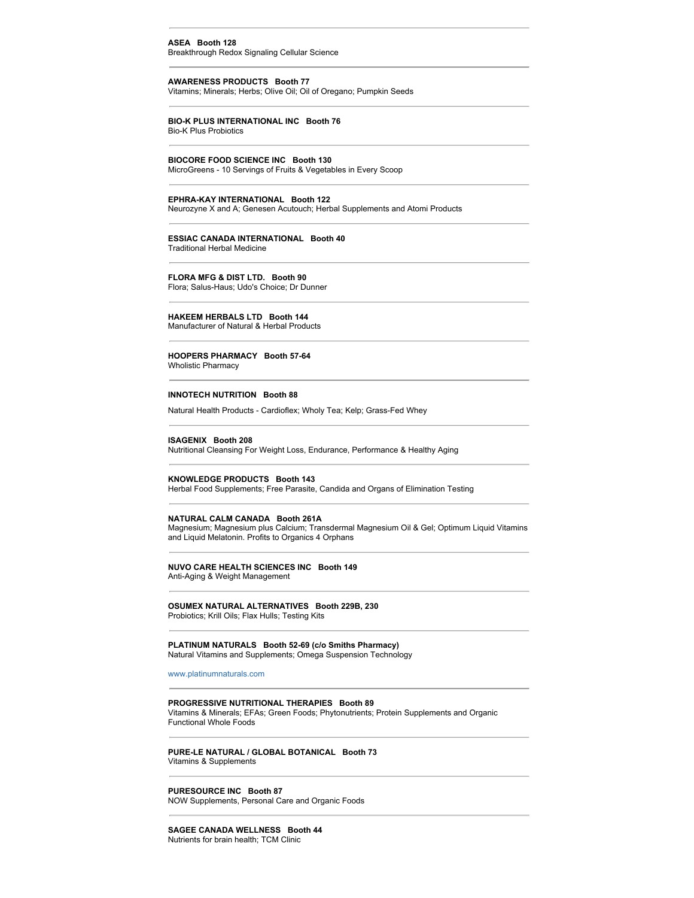#### **ASEA Booth 128**

Breakthrough Redox Signaling Cellular Science

## **AWARENESS PRODUCTS Booth 77**

Vitamins; Minerals; Herbs; Olive Oil; Oil of Oregano; Pumpkin Seeds

#### **BIO-K PLUS INTERNATIONAL INC Booth 76** Bio-K Plus Probiotics

## **BIOCORE FOOD SCIENCE INC Booth 130**

MicroGreens - 10 Servings of Fruits & Vegetables in Every Scoop

#### **EPHRA-KAY INTERNATIONAL Booth 122**

Neurozyne X and A; Genesen Acutouch; Herbal Supplements and Atomi Products

#### **ESSIAC CANADA INTERNATIONAL Booth 40**

Traditional Herbal Medicine

#### **FLORA MFG & DIST LTD. Booth 90**

Flora; Salus-Haus; Udo's Choice; Dr Dunner

#### **HAKEEM HERBALS LTD Booth 144**

Manufacturer of Natural & Herbal Products

#### **HOOPERS PHARMACY Booth 57-64** Wholistic Pharmacy

#### **INNOTECH NUTRITION Booth 88**

Natural Health Products - Cardioflex; Wholy Tea; Kelp; Grass-Fed Whey

#### **ISAGENIX Booth 208**

Nutritional Cleansing For Weight Loss, Endurance, Performance & Healthy Aging

#### **KNOWLEDGE PRODUCTS Booth 143**

Herbal Food Supplements; Free Parasite, Candida and Organs of Elimination Testing

#### **NATURAL CALM CANADA Booth 261A**

Magnesium; Magnesium plus Calcium; Transdermal Magnesium Oil & Gel; Optimum Liquid Vitamins and Liquid Melatonin. Profits to Organics 4 Orphans

#### **NUVO CARE HEALTH SCIENCES INC Booth 149** Anti-Aging & Weight Management

#### **OSUMEX NATURAL ALTERNATIVES Booth 229B, 230** Probiotics; Krill Oils; Flax Hulls; Testing Kits

#### **PLATINUM NATURALS Booth 52-69 (c/o Smiths Pharmacy)** Natural Vitamins and Supplements; Omega Suspension Technology

[www.platinumnaturals.com](http://www.platinumnaturals.com/)

#### **PROGRESSIVE NUTRITIONAL THERAPIES Booth 89**

Vitamins & Minerals; EFAs; Green Foods; Phytonutrients; Protein Supplements and Organic Functional Whole Foods

#### **PURE-LE NATURAL / GLOBAL BOTANICAL Booth 73** Vitamins & Supplements

**PURESOURCE INC Booth 87** NOW Supplements, Personal Care and Organic Foods

#### **SAGEE CANADA WELLNESS Booth 44** Nutrients for brain health; TCM Clinic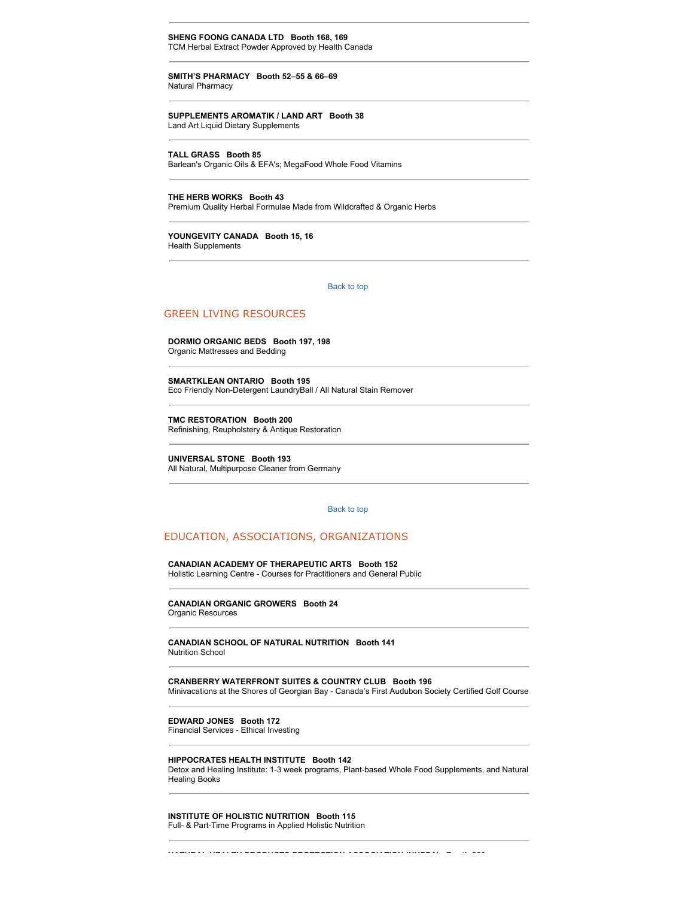**SHENG FOONG CANADA LTD Booth 168, 169** TCM Herbal Extract Powder Approved by Health Canada

**SMITH'S PHARMACY Booth 52–55 & 66–69** Natural Pharmacy

**SUPPLEMENTS AROMATIK / LAND ART Booth 38** Land Art Liquid Dietary Supplements

**TALL GRASS Booth 85**

Barlean's Organic Oils & EFA's; MegaFood Whole Food Vitamins

**THE HERB WORKS Booth 43** Premium Quality Herbal Formulae Made from Wildcrafted & Organic Herbs

**YOUNGEVITY CANADA Booth 15, 16** Health Supplements

[Back to top](http://www.wholelifeexpo.ca/exhibitors.php#top) 

#### GREEN LIVING RESOURCES

**DORMIO ORGANIC BEDS Booth 197, 198** Organic Mattresses and Bedding

**SMARTKLEAN ONTARIO Booth 195** Eco Friendly Non-Detergent LaundryBall / All Natural Stain Remover

**TMC RESTORATION Booth 200** Refinishing, Reupholstery & Antique Restoration

**UNIVERSAL STONE Booth 193** All Natural, Multipurpose Cleaner from Germany

#### [Back to top](http://www.wholelifeexpo.ca/exhibitors.php#top)

## EDUCATION, ASSOCIATIONS, ORGANIZATIONS

**CANADIAN ACADEMY OF THERAPEUTIC ARTS Booth 152** Holistic Learning Centre - Courses for Practitioners and General Public

**CANADIAN ORGANIC GROWERS Booth 24** Organic Resources

**CANADIAN SCHOOL OF NATURAL NUTRITION Booth 141** Nutrition School

**CRANBERRY WATERFRONT SUITES & COUNTRY CLUB Booth 196** Minivacations at the Shores of Georgian Bay - Canada's First Audubon Society Certified Golf Course

**EDWARD JONES Booth 172**

Financial Services - Ethical Investing

#### **HIPPOCRATES HEALTH INSTITUTE Booth 142**

Detox and Healing Institute: 1-3 week programs, Plant-based Whole Food Supplements, and Natural Healing Books

**NATURAL HEALTH PRODUCTS PROTECTION ASSOCIATION (NHPPA) Booth 260**

**INSTITUTE OF HOLISTIC NUTRITION Booth 115** Full- & Part-Time Programs in Applied Holistic Nutrition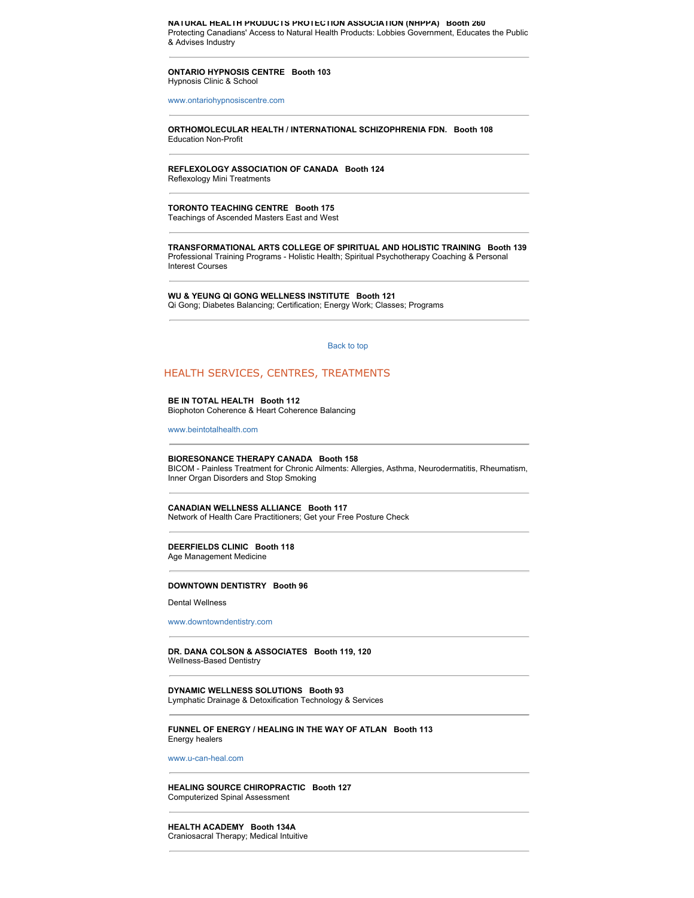**NATURAL HEALTH PRODUCTS PROTECTION ASSOCIATION (NHPPA) Booth 260** Protecting Canadians' Access to Natural Health Products: Lobbies Government, Educates the Public & Advises Industry

#### **ONTARIO HYPNOSIS CENTRE Booth 103** Hypnosis Clinic & School

[www.ontariohypnosiscentre.com](http://www.ontariohypnosiscentre.com/)

#### **ORTHOMOLECULAR HEALTH / INTERNATIONAL SCHIZOPHRENIA FDN. Booth 108** Education Non-Profit

## **REFLEXOLOGY ASSOCIATION OF CANADA Booth 124**

Reflexology Mini Treatments

## **TORONTO TEACHING CENTRE Booth 175**

Teachings of Ascended Masters East and West

**TRANSFORMATIONAL ARTS COLLEGE OF SPIRITUAL AND HOLISTIC TRAINING Booth 139** Professional Training Programs - Holistic Health; Spiritual Psychotherapy Coaching & Personal Interest Courses

**WU & YEUNG QI GONG WELLNESS INSTITUTE Booth 121** Qi Gong; Diabetes Balancing; Certification; Energy Work; Classes; Programs

#### [Back to top](http://www.wholelifeexpo.ca/exhibitors.php#top)

#### HEALTH SERVICES, CENTRES, TREATMENTS

#### **BE IN TOTAL HEALTH Booth 112**

Biophoton Coherence & Heart Coherence Balancing

[www.beintotalhealth.com](http://www.beintotalhealth.com/)

#### **BIORESONANCE THERAPY CANADA Booth 158**

BICOM - Painless Treatment for Chronic Ailments: Allergies, Asthma, Neurodermatitis, Rheumatism, Inner Organ Disorders and Stop Smoking

#### **CANADIAN WELLNESS ALLIANCE Booth 117**

Network of Health Care Practitioners; Get your Free Posture Check

#### **DEERFIELDS CLINIC Booth 118** Age Management Medicine

#### **DOWNTOWN DENTISTRY Booth 96**

Dental Wellness

#### [www.downtowndentistry.com](http://www.downtowndentistry.com/)

**DR. DANA COLSON & ASSOCIATES Booth 119, 120** Wellness-Based Dentistry

**DYNAMIC WELLNESS SOLUTIONS Booth 93** Lymphatic Drainage & Detoxification Technology & Services

#### **FUNNEL OF ENERGY / HEALING IN THE WAY OF ATLAN Booth 113** Energy healers

[www.u-can-heal.com](http://www.u-can-heal.com/)

#### **HEALING SOURCE CHIROPRACTIC Booth 127** Computerized Spinal Assessment

**HEALTH ACADEMY Booth 134A** Craniosacral Therapy; Medical Intuitive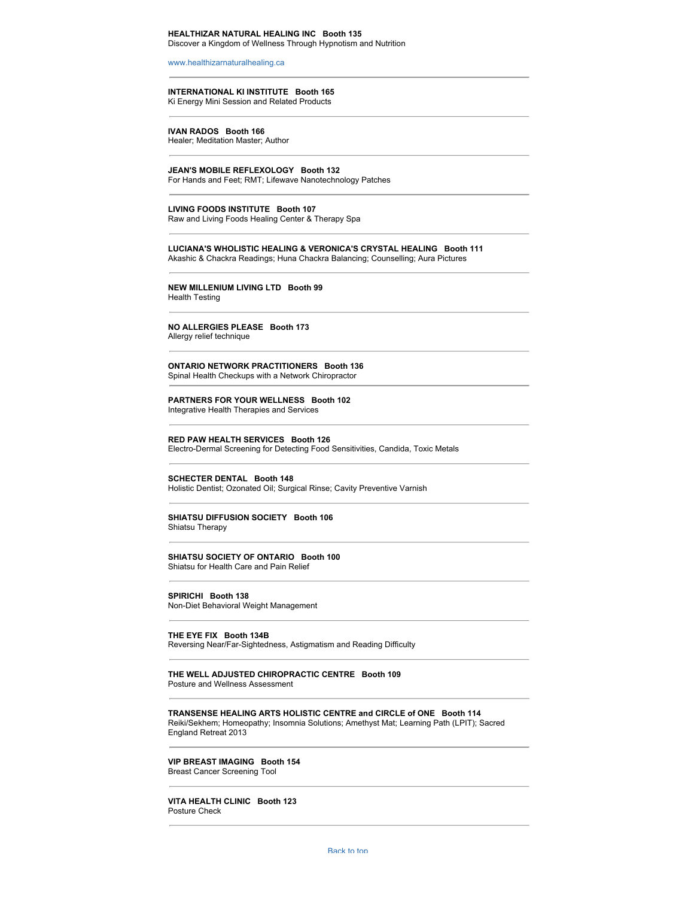#### **HEALTHIZAR NATURAL HEALING INC Booth 135** Discover a Kingdom of Wellness Through Hypnotism and Nutrition

[www.healthizarnaturalhealing.ca](http://www.healthizarnaturalhealing.ca/)

#### **INTERNATIONAL KI INSTITUTE Booth 165** Ki Energy Mini Session and Related Products

**IVAN RADOS Booth 166** Healer; Meditation Master; Author

**JEAN'S MOBILE REFLEXOLOGY Booth 132** For Hands and Feet; RMT; Lifewave Nanotechnology Patches

**LIVING FOODS INSTITUTE Booth 107** Raw and Living Foods Healing Center & Therapy Spa

**LUCIANA'S WHOLISTIC HEALING & VERONICA'S CRYSTAL HEALING Booth 111** Akashic & Chackra Readings; Huna Chackra Balancing; Counselling; Aura Pictures

**NEW MILLENIUM LIVING LTD Booth 99** Health Testing

**NO ALLERGIES PLEASE Booth 173**

Allergy relief technique

## **ONTARIO NETWORK PRACTITIONERS Booth 136**

Spinal Health Checkups with a Network Chiropractor

**PARTNERS FOR YOUR WELLNESS Booth 102** Integrative Health Therapies and Services

**RED PAW HEALTH SERVICES Booth 126** Electro-Dermal Screening for Detecting Food Sensitivities, Candida, Toxic Metals

**SCHECTER DENTAL Booth 148**

Holistic Dentist; Ozonated Oil; Surgical Rinse; Cavity Preventive Varnish

## **SHIATSU DIFFUSION SOCIETY Booth 106**

Shiatsu Therapy

#### **SHIATSU SOCIETY OF ONTARIO Booth 100**

Shiatsu for Health Care and Pain Relief

**SPIRICHI Booth 138**

Non-Diet Behavioral Weight Management

**THE EYE FIX Booth 134B**

Reversing Near/Far-Sightedness, Astigmatism and Reading Difficulty

#### **THE WELL ADJUSTED CHIROPRACTIC CENTRE Booth 109** Posture and Wellness Assessment

**TRANSENSE HEALING ARTS HOLISTIC CENTRE and CIRCLE of ONE Booth 114** Reiki/Sekhem; Homeopathy; Insomnia Solutions; Amethyst Mat; Learning Path (LPIT); Sacred England Retreat 2013

#### **VIP BREAST IMAGING Booth 154**

Breast Cancer Screening Tool

**VITA HEALTH CLINIC Booth 123** Posture Check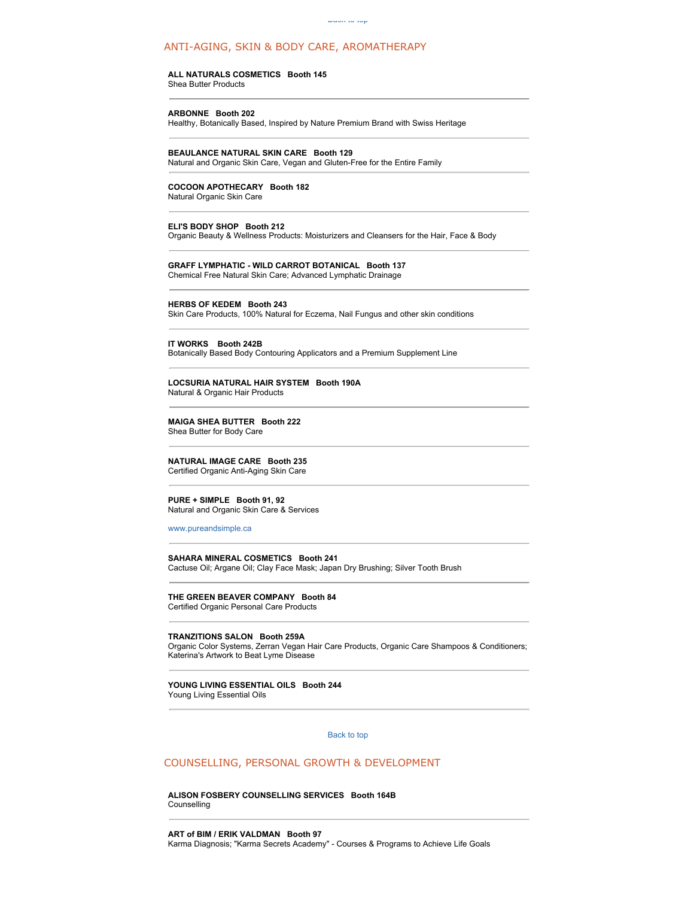#### ANTI-AGING, SKIN & BODY CARE, AROMATHERAPY

#### **ALL NATURALS COSMETICS Booth 145**

Shea Butter Products

#### **ARBONNE Booth 202**

Healthy, Botanically Based, Inspired by Nature Premium Brand with Swiss Heritage

#### **BEAULANCE NATURAL SKIN CARE Booth 129**

Natural and Organic Skin Care, Vegan and Gluten-Free for the Entire Family

#### **COCOON APOTHECARY Booth 182**

Natural Organic Skin Care

#### **ELI'S BODY SHOP Booth 212**

Organic Beauty & Wellness Products: Moisturizers and Cleansers for the Hair, Face & Body

#### **GRAFF LYMPHATIC - WILD CARROT BOTANICAL Booth 137** Chemical Free Natural Skin Care; Advanced Lymphatic Drainage

#### **HERBS OF KEDEM Booth 243**

Skin Care Products, 100% Natural for Eczema, Nail Fungus and other skin conditions

#### **IT WORKS Booth 242B**

Botanically Based Body Contouring Applicators and a Premium Supplement Line

## **LOCSURIA NATURAL HAIR SYSTEM Booth 190A**

Natural & Organic Hair Products

#### **MAIGA SHEA BUTTER Booth 222** Shea Butter for Body Care

**NATURAL IMAGE CARE Booth 235**

Certified Organic Anti-Aging Skin Care

#### **PURE + SIMPLE Booth 91, 92**

Natural and Organic Skin Care & Services

#### [www.pureandsimple.ca](http://www.pureandsimple.ca/)

#### **SAHARA MINERAL COSMETICS Booth 241** Cactuse Oil; Argane Oil; Clay Face Mask; Japan Dry Brushing; Silver Tooth Brush

**THE GREEN BEAVER COMPANY Booth 84** Certified Organic Personal Care Products

#### **TRANZITIONS SALON Booth 259A**

Organic Color Systems, Zerran Vegan Hair Care Products, Organic Care Shampoos & Conditioners; Katerina's Artwork to Beat Lyme Disease

#### **YOUNG LIVING ESSENTIAL OILS Booth 244** Young Living Essential Oils

#### [Back to top](http://www.wholelifeexpo.ca/exhibitors.php#top)

#### COUNSELLING, PERSONAL GROWTH & DEVELOPMENT

#### **ALISON FOSBERY COUNSELLING SERVICES Booth 164B** Counselling

**ART of BIM / ERIK VALDMAN Booth 97** Karma Diagnosis; "Karma Secrets Academy" - Courses & Programs to Achieve Life Goals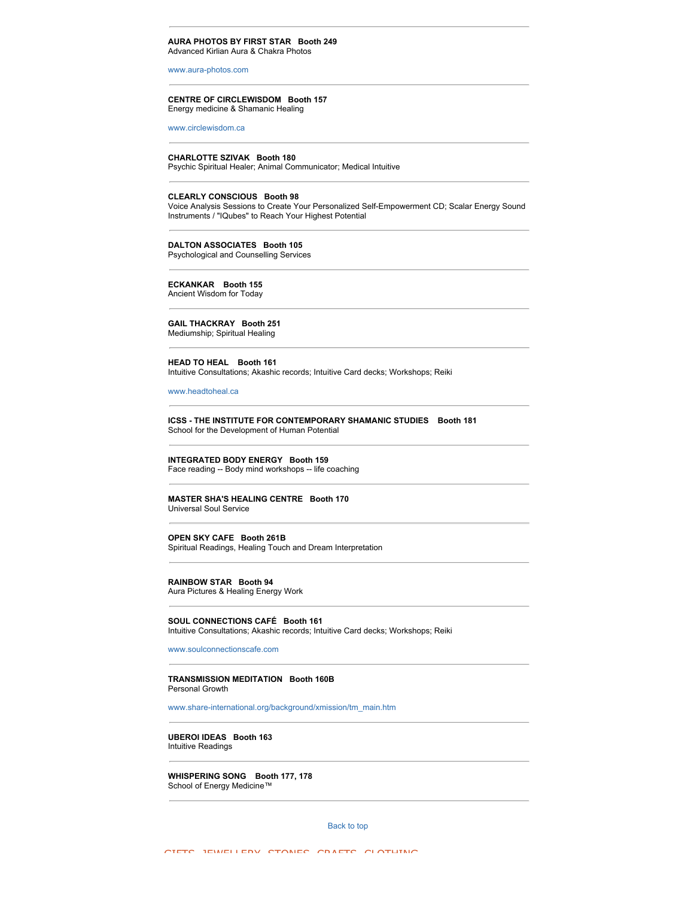#### **AURA PHOTOS BY FIRST STAR Booth 249** Advanced Kirlian Aura & Chakra Photos

[www.aura-photos.com](http://www.aura-photos.com/)

#### **CENTRE OF CIRCLEWISDOM Booth 157** Energy medicine & Shamanic Healing

[www.circlewisdom.ca](http://www.circlewisdom.ca/)

#### **CHARLOTTE SZIVAK Booth 180**

Psychic Spiritual Healer; Animal Communicator; Medical Intuitive

#### **CLEARLY CONSCIOUS Booth 98**

Voice Analysis Sessions to Create Your Personalized Self-Empowerment CD; Scalar Energy Sound Instruments / "IQubes" to Reach Your Highest Potential

#### **DALTON ASSOCIATES Booth 105**

Psychological and Counselling Services

#### **ECKANKAR Booth 155** Ancient Wisdom for Today

**GAIL THACKRAY Booth 251** Mediumship; Spiritual Healing

**HEAD TO HEAL Booth 161** Intuitive Consultations; Akashic records; Intuitive Card decks; Workshops; Reiki

#### [www.headtoheal.ca](http://www.headtoheal.ca/)

**ICSS - THE INSTITUTE FOR CONTEMPORARY SHAMANIC STUDIES Booth 181** School for the Development of Human Potential

#### **INTEGRATED BODY ENERGY Booth 159**

Face reading -- Body mind workshops -- life coaching

## **MASTER SHA'S HEALING CENTRE Booth 170**

Universal Soul Service

#### **OPEN SKY CAFE Booth 261B**

Spiritual Readings, Healing Touch and Dream Interpretation

#### **RAINBOW STAR Booth 94**

Aura Pictures & Healing Energy Work

**SOUL CONNECTIONS CAFÉ Booth 161** Intuitive Consultations; Akashic records; Intuitive Card decks; Workshops; Reiki

[www.soulconnectionscafe.com](http://www.soulconnectionscafe.com/)

#### **TRANSMISSION MEDITATION Booth 160B** Personal Growth

[www.share-international.org/background/xmission/tm\\_main.htm](http://www.share-international.org/background/xmission/tm_main.htm)

**UBEROI IDEAS Booth 163** Intuitive Readings

**WHISPERING SONG Booth 177, 178** School of Energy Medicine™

[Back to top](http://www.wholelifeexpo.ca/exhibitors.php#top)